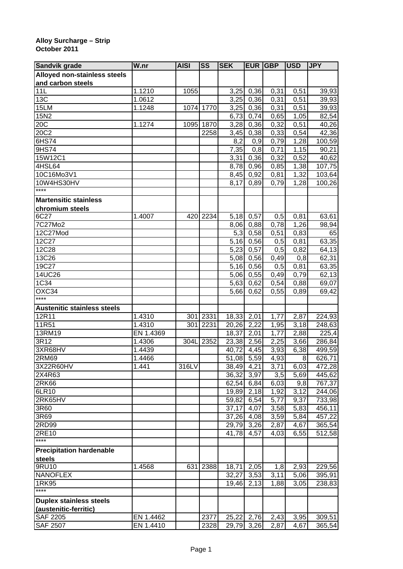## **Alloy Surcharge – Strip October 2011**

| <b>Sandvik grade</b>               | W.nr      | <b>AISI</b> | <b>SS</b> | <b>SEK</b>               | EUR  | <b>GBP</b>        | <b>USD</b>        | <b>JPY</b>       |
|------------------------------------|-----------|-------------|-----------|--------------------------|------|-------------------|-------------------|------------------|
| Alloyed non-stainless steels       |           |             |           |                          |      |                   |                   |                  |
| and carbon steels                  |           |             |           |                          |      |                   |                   |                  |
| 11L                                | 1.1210    | 1055        |           | 3,25                     | 0,36 | 0,31              | 0,51              | 39,93            |
| 13C                                | 1.0612    |             |           | 3,25                     | 0,36 | 0,31              | 0,51              | 39,93            |
| 15LM                               | 1.1248    |             | 1074 1770 | 3,25                     | 0,36 | 0,31              | 0,51              | 39,93            |
| 15N2                               |           |             |           | 6,73                     | 0,74 | 0,65              | 1,05              | 82,54            |
| 20C                                | 1.1274    |             | 1095 1870 | 3,28                     | 0,36 | 0,32              | 0,51              | 40,26            |
| 20C2                               |           |             | 2258      | 3,45                     | 0,38 | 0,33              | 0,54              | 42,36            |
| 6HS74                              |           |             |           | 8,2                      | 0,9  | 0,79              | 1,28              | 100,59           |
| 9HS74                              |           |             |           | 7,35                     | 0,8  | 0,71              | 1,15              | 90,21            |
| 15W12C1                            |           |             |           | 3,31                     | 0,36 | 0,32              | 0,52              | 40,62            |
| 4HSL64                             |           |             |           | 8,78                     | 0,96 | 0,85              | 1,38              | 107,75           |
| 10C16Mo3V1                         |           |             |           | 8,45                     | 0,92 | 0,81              | 1,32              | 103,64           |
| 10W4HS30HV                         |           |             |           | 8,17                     | 0,89 | 0,79              | 1,28              | 100,26           |
| $***$                              |           |             |           |                          |      |                   |                   |                  |
| <b>Martensitic stainless</b>       |           |             |           |                          |      |                   |                   |                  |
| chromium steels                    |           |             |           |                          |      |                   |                   |                  |
| 6C27                               | 1.4007    |             | 420 2234  | 5,18                     | 0,57 | 0,5               | 0,81              | 63,61            |
| 7C27Mo2                            |           |             |           | 8,06                     | 0,88 | 0,78              | 1,26              | 98,94            |
| 12C27Mod                           |           |             |           | 5,3                      | 0,58 | 0,51              | 0,83              | 65               |
| 12C27                              |           |             |           | 5,16                     | 0,56 | 0,5               | 0,81              | 63,35            |
| 12C28                              |           |             |           | 5,23                     | 0,57 | 0,5               | 0,82              | 64,13            |
| 13C26                              |           |             |           | 5,08                     | 0,56 | 0,49              | 0,8               | 62,31            |
| 19C27                              |           |             |           | $\overline{5}$ , 16      | 0,56 | 0,5               | 0,81              | 63,35            |
| 14UC26                             |           |             |           | 5,06                     | 0,55 | 0,49              | 0,79              | 62,13            |
| 1C34                               |           |             |           | 5,63                     | 0,62 | 0,54              | 0,88              | 69,07            |
| OXC34                              |           |             |           | 5,66                     | 0,62 | 0,55              | 0,89              | 69,42            |
| ****                               |           |             |           |                          |      |                   |                   |                  |
| <b>Austenitic stainless steels</b> |           |             |           |                          |      |                   |                   |                  |
| 12R11                              | 1.4310    | 301         | 2331      | 18,33                    | 2,01 | 1,77              | 2,87              | 224,93           |
| 11R51                              | 1.4310    | 301         | 2231      | 20,26                    | 2,22 | 1,95              | 3,18              | 248,63           |
| 13RM19                             | EN 1.4369 |             |           | 18,37                    | 2,01 | 1,77              | 2,88              | 225,4            |
| 3R12                               | 1.4306    | 304L        | 2352      | 23,38                    | 2,56 | 2,25              | 3,66              | 286,84           |
| 3XR68HV                            | 1.4439    |             |           | 40,72                    | 4,45 | 3,93              | 6,38              | 499,59           |
| 2RM69                              | 1.4466    |             |           | 51,08                    | 5,59 | 4,93              | 8                 | 626,71           |
| 3X22R60HV                          | 1.441     | 316LV       |           |                          |      |                   |                   |                  |
| 2X4R63                             |           |             |           | 38,49 4,21<br>36,32 3,97 |      | 3,71<br>3,5       | 6,03<br>5,69      | 472,28<br>445,62 |
| 2R <sub>K66</sub>                  |           |             |           | 62,54                    | 6,84 | 6,03              | 9,8               | 767,37           |
| 6LR10                              |           |             |           | 19,89 2,18               |      | 1,92              | $\overline{3,12}$ |                  |
| 2RK65HV                            |           |             |           | 59,82                    |      | $\overline{5,77}$ |                   | 244,06<br>733,98 |
| 3R60                               |           |             |           |                          | 6,54 |                   | 9,37<br>5,83      |                  |
| 3R69                               |           |             |           | 37,17                    | 4,07 | 3,58              |                   | 456,11           |
| 2RD99                              |           |             |           | 37,26                    | 4,08 | 3,59              | 5,84              | 457,22           |
|                                    |           |             |           | $\overline{29,79}$ 3,26  |      | 2,87              | 4,67              | 365,54           |
| 2RE10<br>$***$                     |           |             |           | 41,78                    | 4,57 | 4,03              | 6,55              | 512,58           |
|                                    |           |             |           |                          |      |                   |                   |                  |
| <b>Precipitation hardenable</b>    |           |             |           |                          |      |                   |                   |                  |
| <b>steels</b>                      |           |             |           |                          |      |                   |                   |                  |
| 9RU10                              | 1.4568    | 631         | 2388      | 18,71 2,05               |      | 1,8               | 2,93              | 229,56           |
| <b>NANOFLEX</b>                    |           |             |           | 32,27                    | 3,53 | 3,11              | 5,06              | 395,91           |
| 1RK95<br>****                      |           |             |           | 19,46 2,13               |      | 1,88              | 3,05              | 238,83           |
|                                    |           |             |           |                          |      |                   |                   |                  |
| <b>Duplex stainless steels</b>     |           |             |           |                          |      |                   |                   |                  |
| (austenitic-ferritic)              |           |             |           |                          |      |                   |                   |                  |
| <b>SAF 2205</b>                    | EN 1.4462 |             | 2377      | 25,22 2,76               |      | 2,43              | 3,95              | 309,51           |
| <b>SAF 2507</b>                    | EN 1.4410 |             | 2328      | 29,79 3,26               |      | 2,87              | 4,67              | 365,54           |